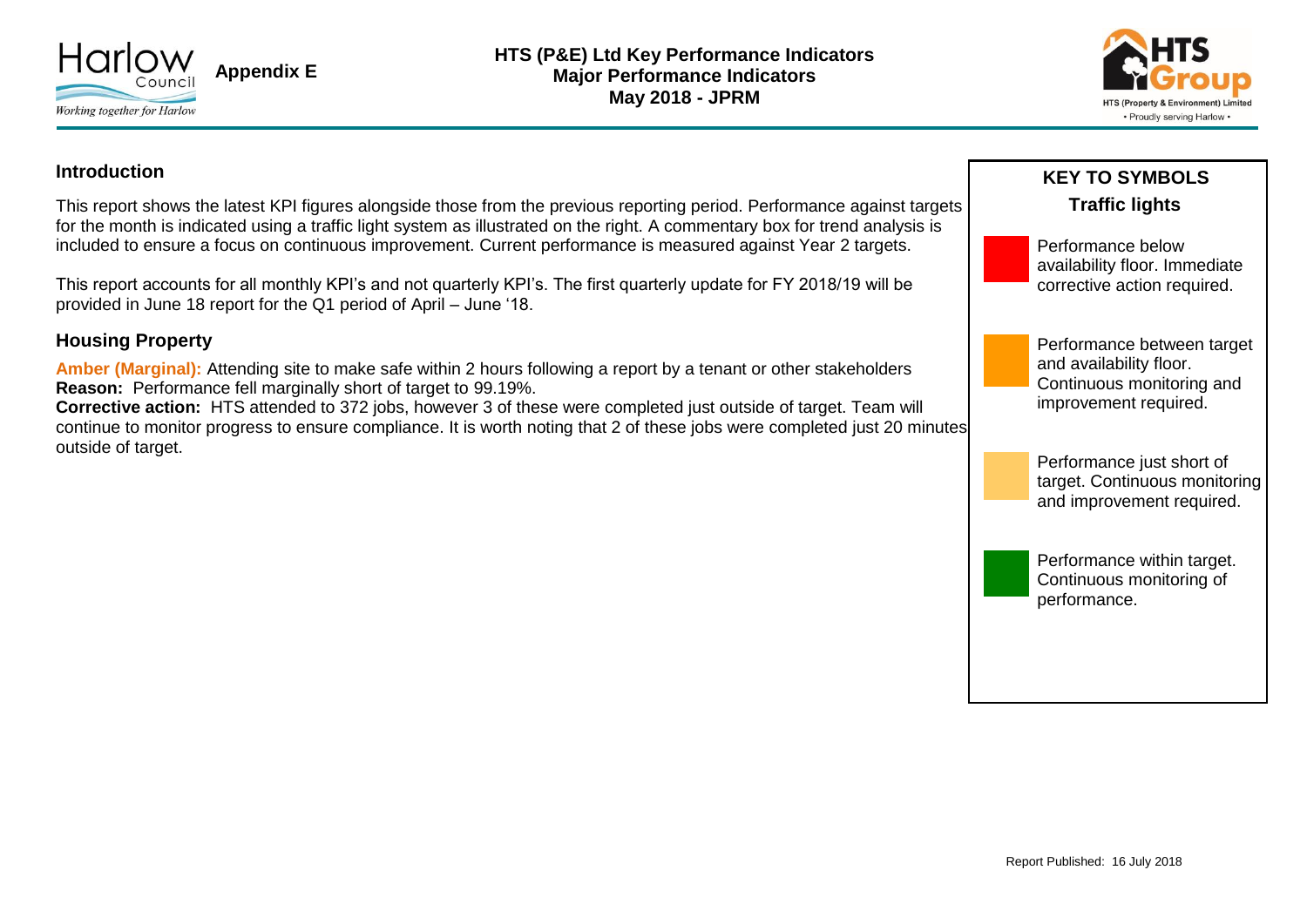



#### **Introduction**

This report shows the latest KPI figures alongside those from the previous reporting period. Performance against targets for the month is indicated using a traffic light system as illustrated on the right. A commentary box for trend analysis is included to ensure a focus on continuous improvement. Current performance is measured against Year 2 targets.

This report accounts for all monthly KPI's and not quarterly KPI's. The first quarterly update for FY 2018/19 will be provided in June 18 report for the Q1 period of April – June '18.

#### **Housing Property**

**Amber (Marginal):** Attending site to make safe within 2 hours following a report by a tenant or other stakeholders **Reason:** Performance fell marginally short of target to 99.19%.

**Corrective action:** HTS attended to 372 jobs, however 3 of these were completed just outside of target. Team will continue to monitor progress to ensure compliance. It is worth noting that 2 of these jobs were completed just 20 minutes outside of target.

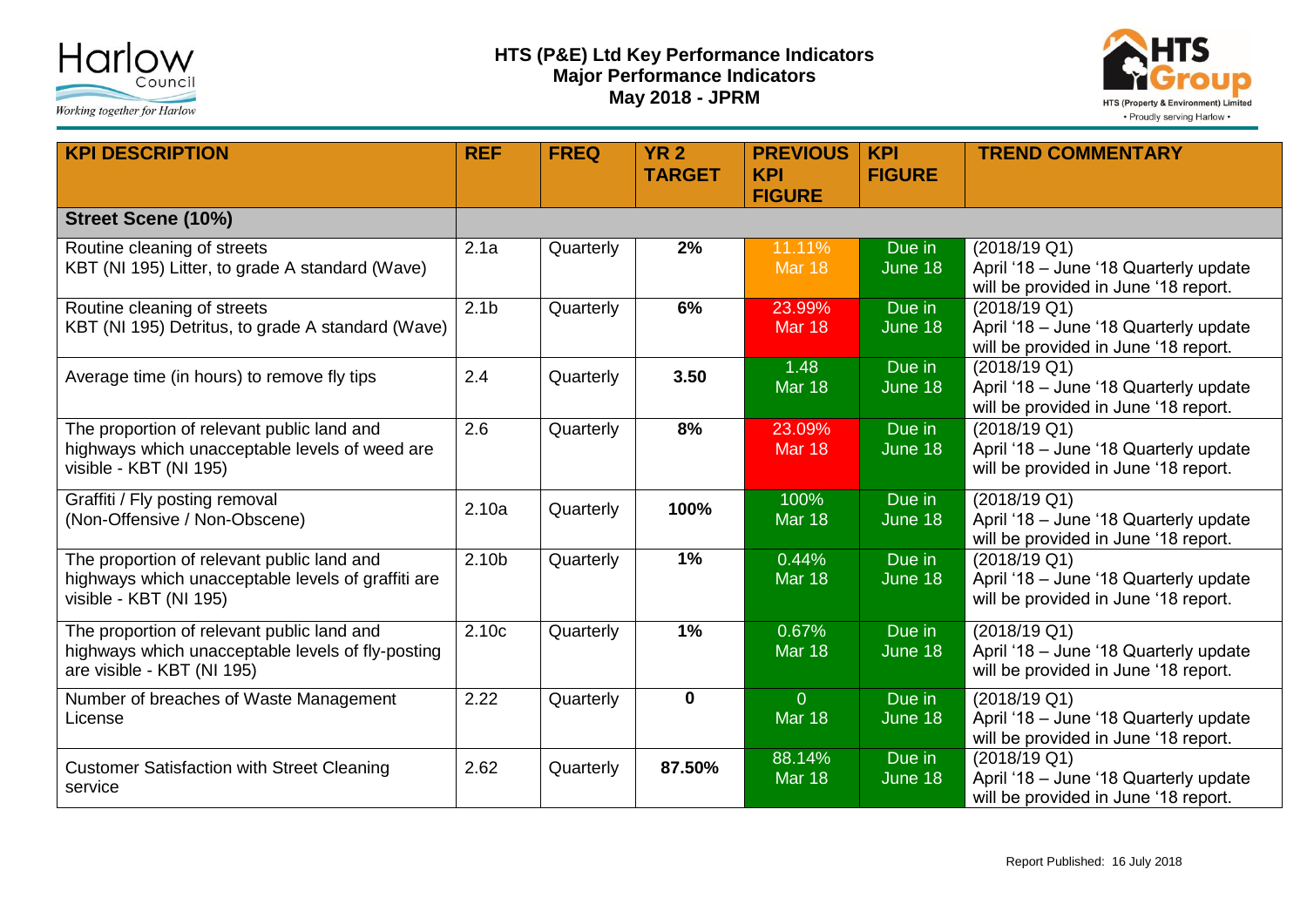



| <b>KPI DESCRIPTION</b>                                                                                                        | <b>REF</b>        | <b>FREQ</b> | <b>YR 2</b><br><b>TARGET</b> | <b>PREVIOUS</b><br><b>KPI</b>   | <b>KPI</b><br><b>FIGURE</b> | <b>TREND COMMENTARY</b>                                                                                 |
|-------------------------------------------------------------------------------------------------------------------------------|-------------------|-------------|------------------------------|---------------------------------|-----------------------------|---------------------------------------------------------------------------------------------------------|
|                                                                                                                               |                   |             |                              | <b>FIGURE</b>                   |                             |                                                                                                         |
| <b>Street Scene (10%)</b>                                                                                                     |                   |             |                              |                                 |                             |                                                                                                         |
| Routine cleaning of streets<br>KBT (NI 195) Litter, to grade A standard (Wave)                                                | 2.1a              | Quarterly   | 2%                           | 11.11%<br><b>Mar 18</b>         | Due in<br>June 18           | $(2018/19 \text{ Q}1)$<br>April '18 - June '18 Quarterly update<br>will be provided in June '18 report. |
| Routine cleaning of streets<br>KBT (NI 195) Detritus, to grade A standard (Wave)                                              | 2.1 <sub>b</sub>  | Quarterly   | 6%                           | 23.99%<br><b>Mar 18</b>         | Due in<br>June 18           | $(2018/19 \text{ Q}1)$<br>April '18 - June '18 Quarterly update<br>will be provided in June '18 report. |
| Average time (in hours) to remove fly tips                                                                                    | 2.4               | Quarterly   | 3.50                         | 1.48<br><b>Mar 18</b>           | Due in<br>June 18           | $(2018/19 \text{ Q}1)$<br>April '18 - June '18 Quarterly update<br>will be provided in June '18 report. |
| The proportion of relevant public land and<br>highways which unacceptable levels of weed are<br>visible - KBT (NI 195)        | 2.6               | Quarterly   | 8%                           | 23.09%<br><b>Mar 18</b>         | Due in<br>June 18           | $(2018/19 \text{ Q}1)$<br>April '18 - June '18 Quarterly update<br>will be provided in June '18 report. |
| Graffiti / Fly posting removal<br>(Non-Offensive / Non-Obscene)                                                               | 2.10a             | Quarterly   | 100%                         | 100%<br><b>Mar 18</b>           | Due in<br>June 18           | $(2018/19 \text{ Q}1)$<br>April '18 - June '18 Quarterly update<br>will be provided in June '18 report. |
| The proportion of relevant public land and<br>highways which unacceptable levels of graffiti are<br>visible - KBT (NI 195)    | 2.10 <sub>b</sub> | Quarterly   | 1%                           | 0.44%<br><b>Mar 18</b>          | Due in<br>June 18           | $(2018/19 \text{ Q}1)$<br>April '18 - June '18 Quarterly update<br>will be provided in June '18 report. |
| The proportion of relevant public land and<br>highways which unacceptable levels of fly-posting<br>are visible - KBT (NI 195) | 2.10c             | Quarterly   | 1%                           | 0.67%<br><b>Mar 18</b>          | Due in<br>June 18           | $(2018/19 \text{ Q}1)$<br>April '18 - June '18 Quarterly update<br>will be provided in June '18 report. |
| Number of breaches of Waste Management<br>License                                                                             | 2.22              | Quarterly   | $\mathbf 0$                  | $\overline{0}$<br><b>Mar 18</b> | Due in<br>June 18           | $(2018/19 \text{ Q}1)$<br>April '18 - June '18 Quarterly update<br>will be provided in June '18 report. |
| <b>Customer Satisfaction with Street Cleaning</b><br>service                                                                  | 2.62              | Quarterly   | 87.50%                       | 88.14%<br><b>Mar 18</b>         | Due in<br>June 18           | $(2018/19 \text{ Q}1)$<br>April '18 - June '18 Quarterly update<br>will be provided in June '18 report. |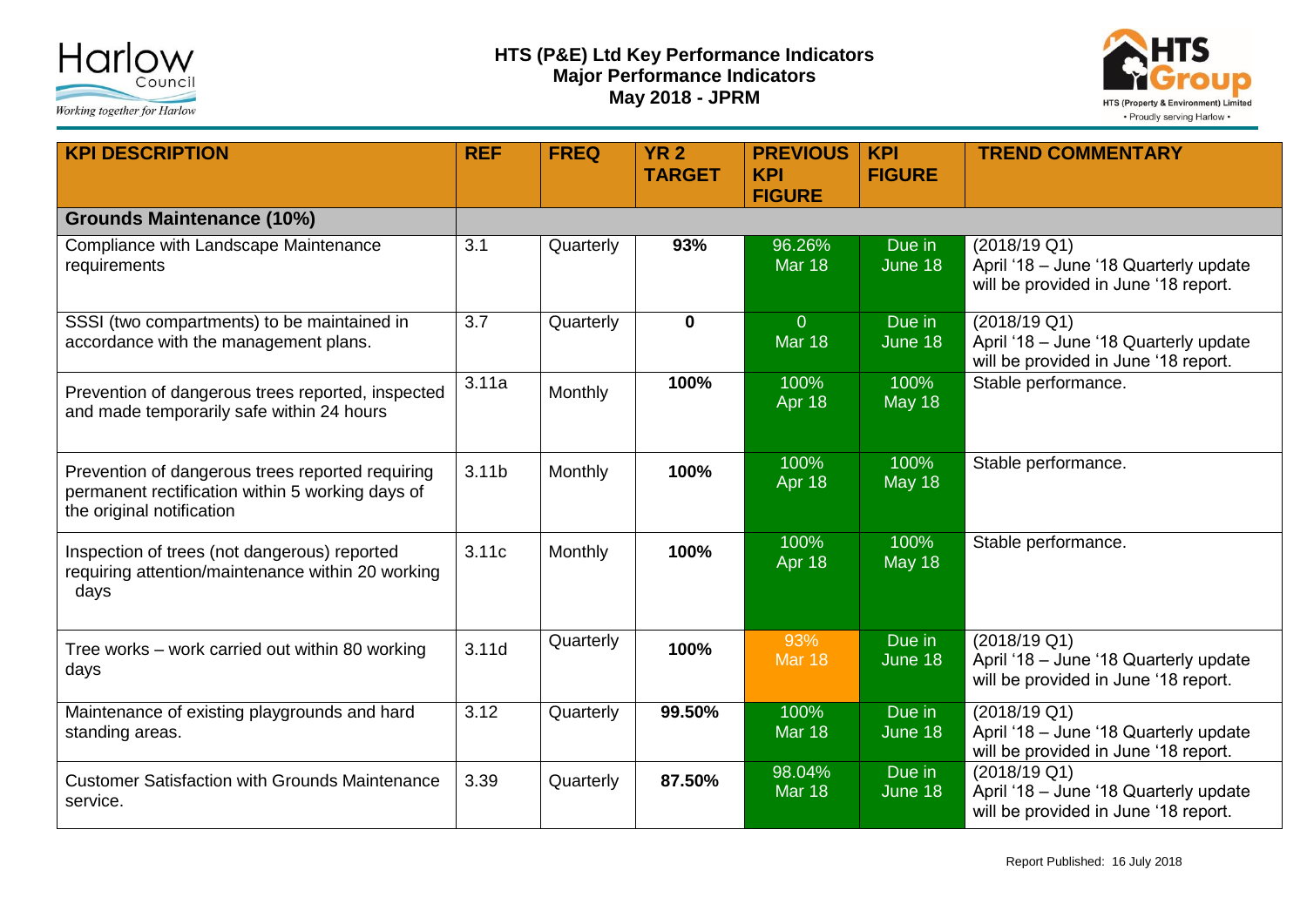



| <b>KPI DESCRIPTION</b>                                                                                                            | <b>REF</b>        | <b>FREQ</b> | <b>YR 2</b><br><b>TARGET</b> | <b>PREVIOUS</b><br><b>KPI</b><br><b>FIGURE</b> | <b>KPI</b><br><b>FIGURE</b> | <b>TREND COMMENTARY</b>                                                                                 |
|-----------------------------------------------------------------------------------------------------------------------------------|-------------------|-------------|------------------------------|------------------------------------------------|-----------------------------|---------------------------------------------------------------------------------------------------------|
| <b>Grounds Maintenance (10%)</b>                                                                                                  |                   |             |                              |                                                |                             |                                                                                                         |
| Compliance with Landscape Maintenance<br>requirements                                                                             | 3.1               | Quarterly   | 93%                          | 96.26%<br><b>Mar 18</b>                        | Due in<br>June 18           | $(2018/19 \text{ Q}1)$<br>April '18 - June '18 Quarterly update<br>will be provided in June '18 report. |
| SSSI (two compartments) to be maintained in<br>accordance with the management plans.                                              | 3.7               | Quarterly   | $\mathbf 0$                  | $\overline{0}$<br><b>Mar 18</b>                | Due in<br>June 18           | $(2018/19 \text{ Q1})$<br>April '18 - June '18 Quarterly update<br>will be provided in June '18 report. |
| Prevention of dangerous trees reported, inspected<br>and made temporarily safe within 24 hours                                    | 3.11a             | Monthly     | 100%                         | 100%<br>Apr 18                                 | 100%<br><b>May 18</b>       | Stable performance.                                                                                     |
| Prevention of dangerous trees reported requiring<br>permanent rectification within 5 working days of<br>the original notification | 3.11 <sub>b</sub> | Monthly     | 100%                         | 100%<br>Apr 18                                 | 100%<br><b>May 18</b>       | Stable performance.                                                                                     |
| Inspection of trees (not dangerous) reported<br>requiring attention/maintenance within 20 working<br>days                         | 3.11c             | Monthly     | 100%                         | 100%<br>Apr 18                                 | 100%<br><b>May 18</b>       | Stable performance.                                                                                     |
| Tree works – work carried out within 80 working<br>days                                                                           | 3.11d             | Quarterly   | 100%                         | 93%<br>Mar 18                                  | Due in<br>June $18$         | $(2018/19 \text{ Q}1)$<br>April '18 - June '18 Quarterly update<br>will be provided in June '18 report. |
| Maintenance of existing playgrounds and hard<br>standing areas.                                                                   | 3.12              | Quarterly   | 99.50%                       | 100%<br><b>Mar 18</b>                          | Due in<br>June 18           | $(2018/19 \text{ Q}1)$<br>April '18 - June '18 Quarterly update<br>will be provided in June '18 report. |
| <b>Customer Satisfaction with Grounds Maintenance</b><br>service.                                                                 | 3.39              | Quarterly   | 87.50%                       | 98.04%<br><b>Mar 18</b>                        | Due in<br>June 18           | $(2018/19 \text{ Q}1)$<br>April '18 - June '18 Quarterly update<br>will be provided in June '18 report. |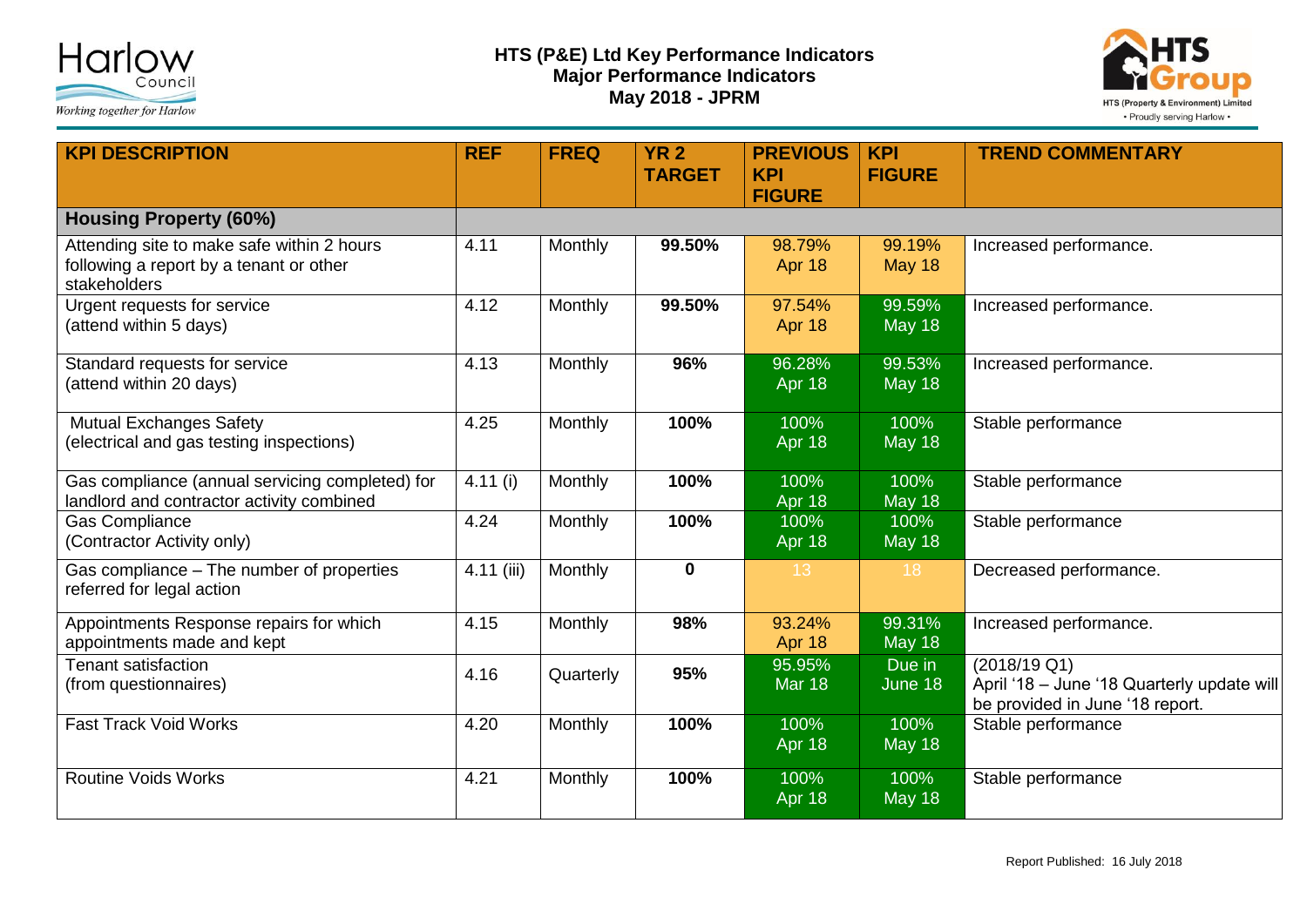



| <b>KPI DESCRIPTION</b>                                                                                | <b>REF</b> | <b>FREQ</b> | <b>YR 2</b><br><b>TARGET</b> | <b>PREVIOUS</b><br><b>KPI</b><br><b>FIGURE</b> | <b>KPI</b><br><b>FIGURE</b> | <b>TREND COMMENTARY</b>                                                                                      |
|-------------------------------------------------------------------------------------------------------|------------|-------------|------------------------------|------------------------------------------------|-----------------------------|--------------------------------------------------------------------------------------------------------------|
| <b>Housing Property (60%)</b>                                                                         |            |             |                              |                                                |                             |                                                                                                              |
| Attending site to make safe within 2 hours<br>following a report by a tenant or other<br>stakeholders | 4.11       | Monthly     | 99.50%                       | 98.79%<br>Apr 18                               | 99.19%<br><b>May 18</b>     | Increased performance.                                                                                       |
| Urgent requests for service<br>(attend within 5 days)                                                 | 4.12       | Monthly     | 99.50%                       | 97.54%<br>Apr 18                               | 99.59%<br><b>May 18</b>     | Increased performance.                                                                                       |
| Standard requests for service<br>(attend within 20 days)                                              | 4.13       | Monthly     | 96%                          | 96.28%<br>Apr 18                               | 99.53%<br><b>May 18</b>     | Increased performance.                                                                                       |
| <b>Mutual Exchanges Safety</b><br>(electrical and gas testing inspections)                            | 4.25       | Monthly     | 100%                         | 100%<br>Apr 18                                 | 100%<br><b>May 18</b>       | Stable performance                                                                                           |
| Gas compliance (annual servicing completed) for<br>landlord and contractor activity combined          | 4.11(i)    | Monthly     | 100%                         | 100%<br>Apr 18                                 | 100%<br><b>May 18</b>       | Stable performance                                                                                           |
| <b>Gas Compliance</b><br>(Contractor Activity only)                                                   | 4.24       | Monthly     | 100%                         | 100%<br>Apr 18                                 | 100%<br><b>May 18</b>       | Stable performance                                                                                           |
| Gas compliance - The number of properties<br>referred for legal action                                | 4.11 (iii) | Monthly     | $\mathbf 0$                  | 13                                             | 18                          | Decreased performance.                                                                                       |
| Appointments Response repairs for which<br>appointments made and kept                                 | 4.15       | Monthly     | 98%                          | 93.24%<br>Apr 18                               | 99.31%<br><b>May 18</b>     | Increased performance.                                                                                       |
| <b>Tenant satisfaction</b><br>(from questionnaires)                                                   | 4.16       | Quarterly   | 95%                          | 95.95%<br>Mar 18                               | Due in<br>June 18           | $(2018/19$ Q <sub>1</sub> )<br>April '18 - June '18 Quarterly update will<br>be provided in June '18 report. |
| <b>Fast Track Void Works</b>                                                                          | 4.20       | Monthly     | 100%                         | 100%<br>Apr 18                                 | 100%<br><b>May 18</b>       | Stable performance                                                                                           |
| <b>Routine Voids Works</b>                                                                            | 4.21       | Monthly     | 100%                         | 100%<br>Apr 18                                 | 100%<br><b>May 18</b>       | Stable performance                                                                                           |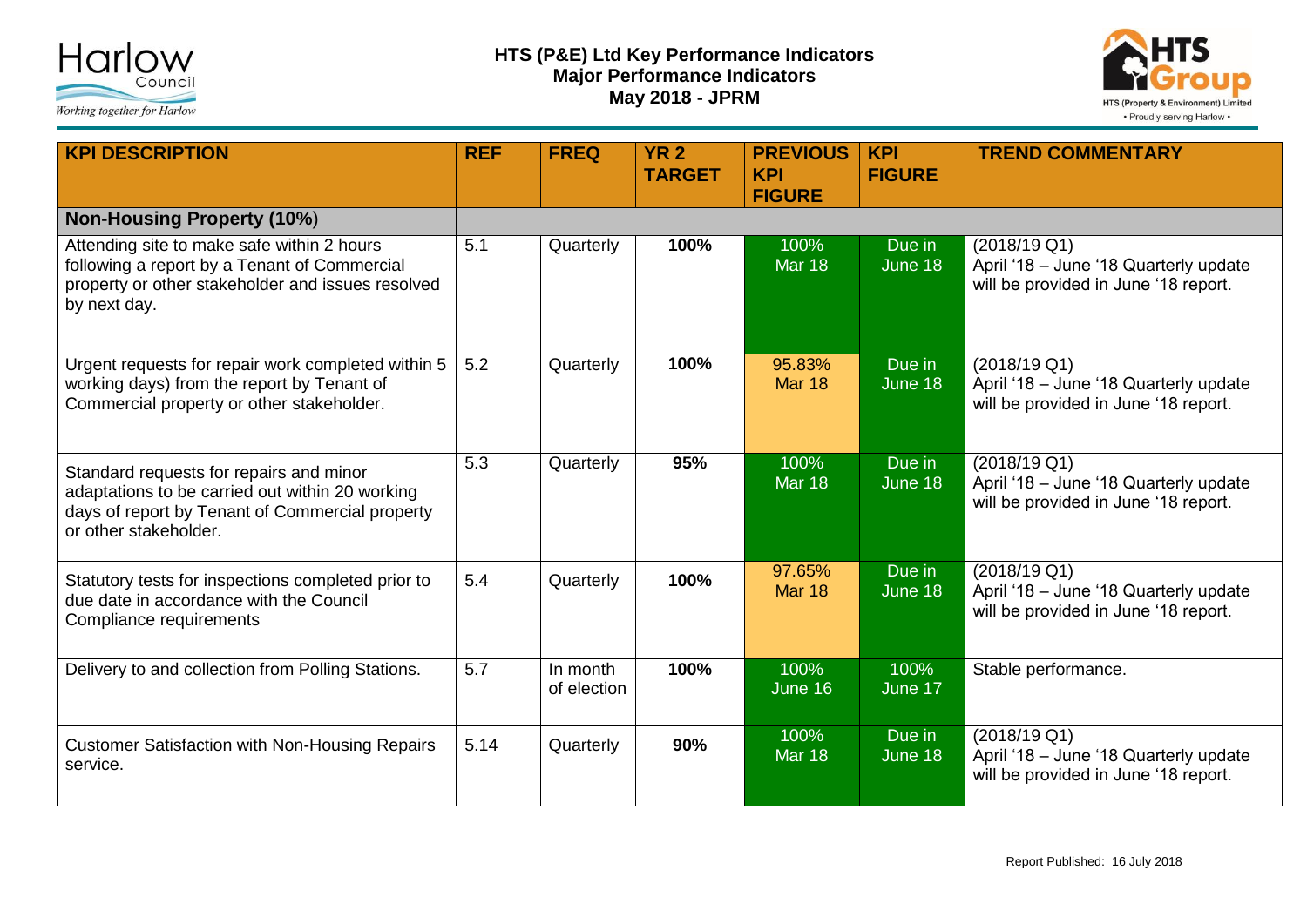



| <b>KPI DESCRIPTION</b>                                                                                                                                                 | <b>REF</b>       | <b>FREQ</b>             | <b>YR 2</b><br><b>TARGET</b> | <b>PREVIOUS</b><br><b>KPI</b><br><b>FIGURE</b> | <b>KPI</b><br><b>FIGURE</b> | <b>TREND COMMENTARY</b>                                                                                 |
|------------------------------------------------------------------------------------------------------------------------------------------------------------------------|------------------|-------------------------|------------------------------|------------------------------------------------|-----------------------------|---------------------------------------------------------------------------------------------------------|
| <b>Non-Housing Property (10%)</b>                                                                                                                                      |                  |                         |                              |                                                |                             |                                                                                                         |
| Attending site to make safe within 2 hours<br>following a report by a Tenant of Commercial<br>property or other stakeholder and issues resolved<br>by next day.        | 5.1              | Quarterly               | 100%                         | 100%<br><b>Mar 18</b>                          | Due in<br>June 18           | $(2018/19 \text{ Q}1)$<br>April '18 - June '18 Quarterly update<br>will be provided in June '18 report. |
| Urgent requests for repair work completed within 5<br>working days) from the report by Tenant of<br>Commercial property or other stakeholder.                          | $\overline{5.2}$ | Quarterly               | 100%                         | 95.83%<br><b>Mar 18</b>                        | Due in<br>June 18           | $(2018/19 \text{ Q}1)$<br>April '18 - June '18 Quarterly update<br>will be provided in June '18 report. |
| Standard requests for repairs and minor<br>adaptations to be carried out within 20 working<br>days of report by Tenant of Commercial property<br>or other stakeholder. | 5.3              | Quarterly               | 95%                          | 100%<br><b>Mar 18</b>                          | Due in<br>June 18           | $(2018/19 \text{ Q}1)$<br>April '18 - June '18 Quarterly update<br>will be provided in June '18 report. |
| Statutory tests for inspections completed prior to<br>due date in accordance with the Council<br>Compliance requirements                                               | 5.4              | Quarterly               | 100%                         | 97.65%<br><b>Mar 18</b>                        | Due in<br>June 18           | $(2018/19 \text{ Q}1)$<br>April '18 - June '18 Quarterly update<br>will be provided in June '18 report. |
| Delivery to and collection from Polling Stations.                                                                                                                      | 5.7              | In month<br>of election | 100%                         | 100%<br>June 16                                | 100%<br>June 17             | Stable performance.                                                                                     |
| <b>Customer Satisfaction with Non-Housing Repairs</b><br>service.                                                                                                      | 5.14             | Quarterly               | 90%                          | 100%<br><b>Mar 18</b>                          | Due in<br>June 18           | $(2018/19 \text{ Q}1)$<br>April '18 - June '18 Quarterly update<br>will be provided in June '18 report. |